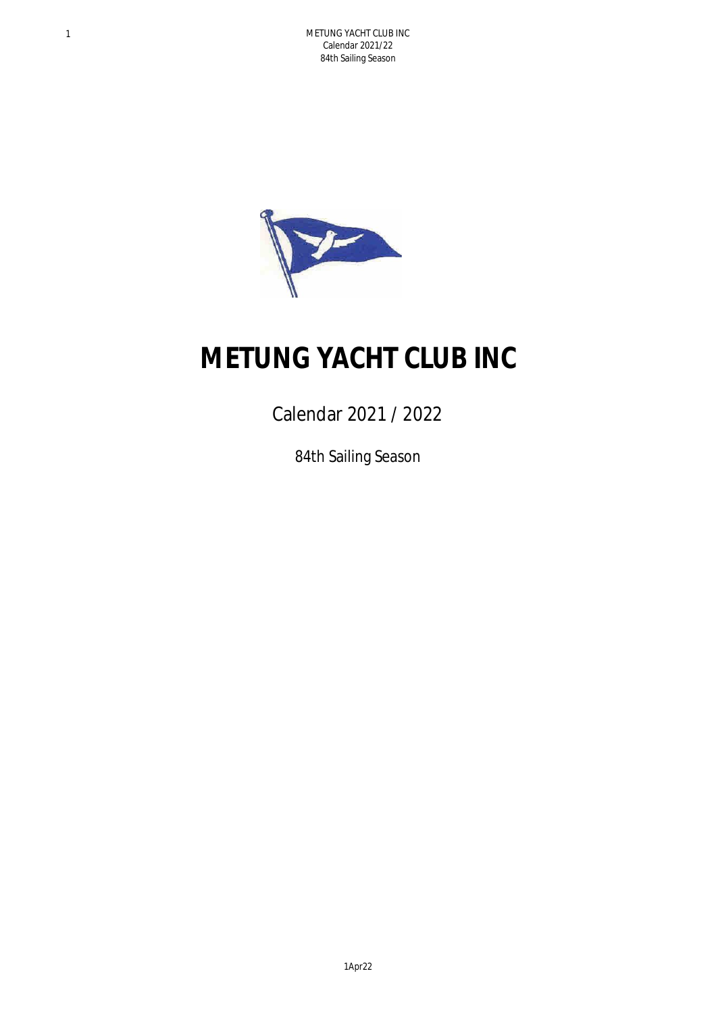

## **METUNG YACHT CLUB INC**

Calendar 2021 / 2022

84th Sailing Season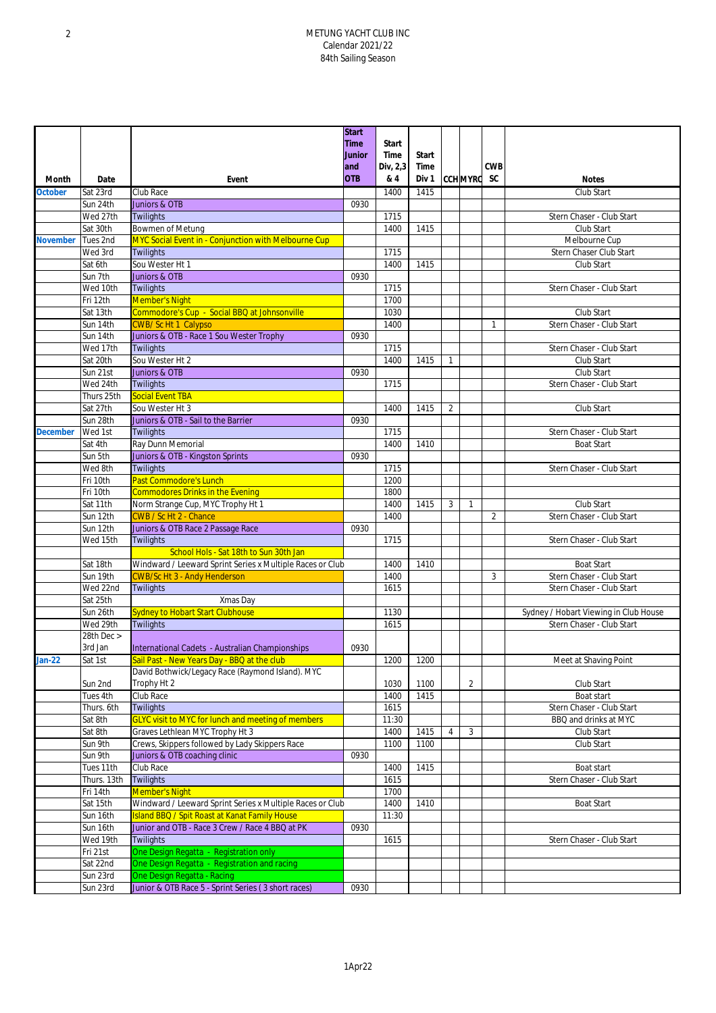## 2 METUNG YACHT CLUB INC Calendar 2021/22 84th Sailing Season

|                 |             |                                                           | <b>Start</b>  |              |       |                |                 |                |                                       |
|-----------------|-------------|-----------------------------------------------------------|---------------|--------------|-------|----------------|-----------------|----------------|---------------------------------------|
|                 |             |                                                           | <b>Time</b>   | <b>Start</b> |       |                |                 |                |                                       |
|                 |             |                                                           | <b>Junior</b> | Time         | Start |                |                 |                |                                       |
|                 |             |                                                           | and           | Div, 2,3     | Time  |                |                 | <b>CWB</b>     |                                       |
| Month           | Date        | Event                                                     | <b>OTB</b>    | & 4          | Div 1 |                | <b>CCH MYRC</b> | <b>SC</b>      | <b>Notes</b>                          |
| <b>October</b>  | Sat 23rd    | Club Race                                                 |               | 1400         | 1415  |                |                 |                | Club Start                            |
|                 | Sun 24th    | Juniors & OTB                                             | 0930          |              |       |                |                 |                |                                       |
|                 | Wed 27th    | Twilights                                                 |               | 1715         |       |                |                 |                | Stern Chaser - Club Start             |
|                 | Sat 30th    | Bowmen of Metung                                          |               | 1400         | 1415  |                |                 |                | Club Start                            |
| <b>November</b> | Tues 2nd    | MYC Social Event in - Conjunction with Melbourne Cup      |               |              |       |                |                 |                | Melbourne Cup                         |
|                 | Wed 3rd     | <b>Twilights</b>                                          |               | 1715         |       |                |                 |                | Stern Chaser Club Start               |
|                 | Sat 6th     | Sou Wester Ht 1                                           |               | 1400         | 1415  |                |                 |                | Club Start                            |
|                 | Sun 7th     | Juniors & OTB                                             | 0930          |              |       |                |                 |                |                                       |
|                 | Wed 10th    | <b>Twilights</b>                                          |               | 1715         |       |                |                 |                | Stern Chaser - Club Start             |
|                 | Fri 12th    | <b>Member's Night</b>                                     |               | 1700         |       |                |                 |                |                                       |
|                 | Sat 13th    | Commodore's Cup - Social BBQ at Johnsonville              |               | 1030         |       |                |                 |                | Club Start                            |
|                 | Sun 14th    | <b>CWB/ScHt1 Calypso</b>                                  |               | 1400         |       |                |                 | $\mathbf{1}$   | Stern Chaser - Club Start             |
|                 | Sun 14th    | Juniors & OTB - Race 1 Sou Wester Trophy                  | 0930          |              |       |                |                 |                |                                       |
|                 | Wed 17th    | <b>Twilights</b>                                          |               | 1715         |       |                |                 |                | Stern Chaser - Club Start             |
|                 | Sat 20th    | Sou Wester Ht 2                                           |               | 1400         | 1415  | $\mathbf{1}$   |                 |                | Club Start                            |
|                 | Sun 21st    | Juniors & OTB                                             | 0930          |              |       |                |                 |                | Club Start                            |
|                 |             |                                                           |               | 1715         |       |                |                 |                |                                       |
|                 | Wed 24th    | Twilights                                                 |               |              |       |                |                 |                | Stern Chaser - Club Start             |
|                 | Thurs 25th  | <b>Social Event TBA</b>                                   |               |              |       |                |                 |                |                                       |
|                 | Sat 27th    | Sou Wester Ht 3                                           |               | 1400         | 1415  | $\overline{2}$ |                 |                | Club Start                            |
|                 | Sun 28th    | Juniors & OTB - Sail to the Barrier                       | 0930          |              |       |                |                 |                |                                       |
| <b>December</b> | Wed 1st     | <b>Twilights</b>                                          |               | 1715         |       |                |                 |                | Stern Chaser - Club Start             |
|                 | Sat 4th     | Ray Dunn Memorial                                         |               | 1400         | 1410  |                |                 |                | <b>Boat Start</b>                     |
|                 | Sun 5th     | Juniors & OTB - Kingston Sprints                          | 0930          |              |       |                |                 |                |                                       |
|                 | Wed 8th     | Twilights                                                 |               | 1715         |       |                |                 |                | Stern Chaser - Club Start             |
|                 | Fri 10th    | Past Commodore's Lunch                                    |               | 1200         |       |                |                 |                |                                       |
|                 | Fri 10th    | <b>Commodores Drinks in the Evening</b>                   |               | 1800         |       |                |                 |                |                                       |
|                 | Sat 11th    | Norm Strange Cup, MYC Trophy Ht 1                         |               | 1400         | 1415  | 3              | $\mathbf{1}$    |                | Club Start                            |
|                 | Sun 12th    | CWB / Sc Ht 2 - Chance                                    |               | 1400         |       |                |                 | $\overline{2}$ | Stern Chaser - Club Start             |
|                 | Sun 12th    | Juniors & OTB Race 2 Passage Race                         | 0930          |              |       |                |                 |                |                                       |
|                 | Wed 15th    | <b>Twilights</b>                                          |               | 1715         |       |                |                 |                | Stern Chaser - Club Start             |
|                 |             | School Hols - Sat 18th to Sun 30th Jan                    |               |              |       |                |                 |                |                                       |
|                 | Sat 18th    | Windward / Leeward Sprint Series x Multiple Races or Club |               | 1400         | 1410  |                |                 |                | <b>Boat Start</b>                     |
|                 | Sun 19th    | <b>CWB/Sc Ht 3 - Andy Henderson</b>                       |               | 1400         |       |                |                 | 3              | Stern Chaser - Club Start             |
|                 | Wed 22nd    | Twilights                                                 |               | 1615         |       |                |                 |                | Stern Chaser - Club Start             |
|                 | Sat 25th    | Xmas Day                                                  |               |              |       |                |                 |                |                                       |
|                 | Sun 26th    | <b>Sydney to Hobart Start Clubhouse</b>                   |               | 1130         |       |                |                 |                | Sydney / Hobart Viewing in Club House |
|                 |             |                                                           |               |              |       |                |                 |                |                                       |
|                 | Wed 29th    | <b>Twilights</b>                                          |               | 1615         |       |                |                 |                | Stern Chaser - Club Start             |
|                 | 28th Dec >  |                                                           |               |              |       |                |                 |                |                                       |
|                 | 3rd Jan     | International Cadets - Australian Championships           | 0930          |              |       |                |                 |                |                                       |
| $Jan-22$        | Sat 1st     | Sail Past - New Years Day - BBQ at the club               |               | 1200         | 1200  |                |                 |                | Meet at Shaving Point                 |
|                 |             | David Bothwick/Legacy Race (Raymond Island). MYC          |               |              |       |                |                 |                |                                       |
|                 | Sun 2nd     | Trophy Ht 2                                               |               | 1030         | 1100  |                | $\overline{2}$  |                | Club Start                            |
|                 | Tues 4th    | Club Race                                                 |               | 1400         | 1415  |                |                 |                | Boat start                            |
|                 | Thurs. 6th  | <b>Twilights</b>                                          |               | 1615         |       |                |                 |                | Stern Chaser - Club Start             |
|                 | Sat 8th     | <b>GLYC visit to MYC for lunch and meeting of members</b> |               | 11:30        |       |                |                 |                | BBQ and drinks at MYC                 |
|                 | Sat 8th     | Graves Lethlean MYC Trophy Ht 3                           |               | 1400         | 1415  | $\overline{4}$ | 3               |                | Club Start                            |
|                 | Sun 9th     | Crews, Skippers followed by Lady Skippers Race            |               | 1100         | 1100  |                |                 |                | Club Start                            |
|                 | Sun 9th     | Juniors & OTB coaching clinic                             | 0930          |              |       |                |                 |                |                                       |
|                 | Tues 11th   | Club Race                                                 |               | 1400         | 1415  |                |                 |                | Boat start                            |
|                 | Thurs. 13th | <b>Twilights</b>                                          |               | 1615         |       |                |                 |                | Stern Chaser - Club Start             |
|                 | Fri 14th    | <b>Member's Night</b>                                     |               | 1700         |       |                |                 |                |                                       |
|                 | Sat 15th    | Windward / Leeward Sprint Series x Multiple Races or Club |               | 1400         | 1410  |                |                 |                | <b>Boat Start</b>                     |
|                 | Sun 16th    | <b>Island BBQ / Spit Roast at Kanat Family House</b>      |               | 11:30        |       |                |                 |                |                                       |
|                 | Sun 16th    | Junior and OTB - Race 3 Crew / Race 4 BBQ at PK           | 0930          |              |       |                |                 |                |                                       |
|                 | Wed 19th    | <b>Twilights</b>                                          |               | 1615         |       |                |                 |                | Stern Chaser - Club Start             |
|                 | Fri 21st    | One Design Regatta - Registration only                    |               |              |       |                |                 |                |                                       |
|                 | Sat 22nd    | One Design Regatta - Registration and racing              |               |              |       |                |                 |                |                                       |
|                 | Sun 23rd    | One Design Regatta - Racing                               |               |              |       |                |                 |                |                                       |
|                 | Sun 23rd    | Junior & OTB Race 5 - Sprint Series (3 short races)       | 0930          |              |       |                |                 |                |                                       |
|                 |             |                                                           |               |              |       |                |                 |                |                                       |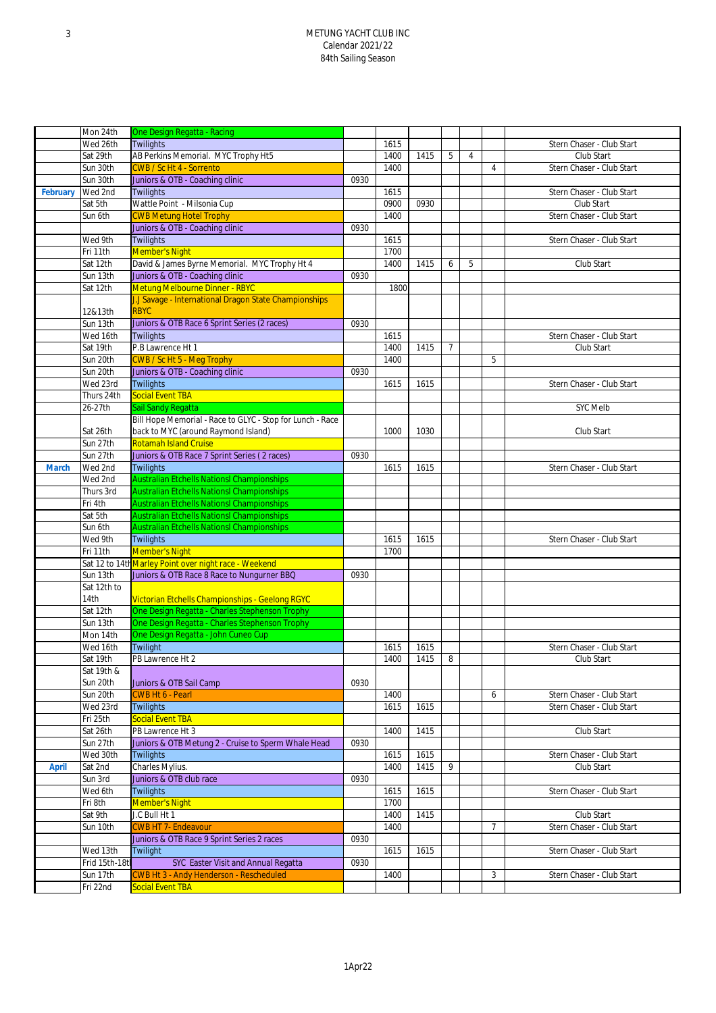## 3 METUNG YACHT CLUB INC Calendar 2021/22 84th Sailing Season

|              | Mon 24th       | One Design Regatta - Racing                                          |      |      |      |                |                |                |                           |
|--------------|----------------|----------------------------------------------------------------------|------|------|------|----------------|----------------|----------------|---------------------------|
|              | Wed 26th       | <b>Twilights</b>                                                     |      | 1615 |      |                |                |                | Stern Chaser - Club Start |
|              | Sat 29th       | AB Perkins Memorial. MYC Trophy Ht5                                  |      | 1400 | 1415 | 5              | $\overline{4}$ |                | Club Start                |
|              | Sun 30th       | <b>CWB / Sc Ht 4 - Sorrento</b>                                      |      | 1400 |      |                |                | 4              | Stern Chaser - Club Start |
|              | Sun 30th       | Juniors & OTB - Coaching clinic                                      | 0930 |      |      |                |                |                |                           |
| February     | Wed 2nd        | <b>Twilights</b>                                                     |      | 1615 |      |                |                |                | Stern Chaser - Club Start |
|              | Sat 5th        | Wattle Point - Milsonia Cup                                          |      | 0900 | 0930 |                |                |                | Club Start                |
|              | Sun 6th        | <b>CWB Metung Hotel Trophy</b>                                       |      | 1400 |      |                |                |                | Stern Chaser - Club Start |
|              |                |                                                                      | 0930 |      |      |                |                |                |                           |
|              |                | Juniors & OTB - Coaching clinic                                      |      |      |      |                |                |                | Stern Chaser - Club Start |
|              | Wed 9th        | <b>Twilights</b>                                                     |      | 1615 |      |                |                |                |                           |
|              | Fri 11th       | <b>Member's Night</b>                                                |      | 1700 |      |                |                |                |                           |
|              | Sat 12th       | David & James Byrne Memorial. MYC Trophy Ht 4                        |      | 1400 | 1415 | 6              | 5              |                | Club Start                |
|              | Sun 13th       | Juniors & OTB - Coaching clinic                                      | 0930 |      |      |                |                |                |                           |
|              | Sat 12th       | <b>Metung Melbourne Dinner - RBYC</b>                                |      | 1800 |      |                |                |                |                           |
|              | 12&13th        | J.J Savage - International Dragon State Championships<br><b>RBYC</b> |      |      |      |                |                |                |                           |
|              | Sun 13th       | Juniors & OTB Race 6 Sprint Series (2 races)                         | 0930 |      |      |                |                |                |                           |
|              | Wed 16th       | <b>Twilights</b>                                                     |      | 1615 |      |                |                |                | Stern Chaser - Club Start |
|              | Sat 19th       | P.B Lawrence Ht 1                                                    |      | 1400 | 1415 | $\overline{7}$ |                |                | Club Start                |
|              | Sun 20th       | CWB / Sc Ht 5 - Meg Trophy                                           |      | 1400 |      |                |                | 5              |                           |
|              | Sun 20th       | Juniors & OTB - Coaching clinic                                      | 0930 |      |      |                |                |                |                           |
|              | Wed 23rd       | <b>Twilights</b>                                                     |      | 1615 | 1615 |                |                |                | Stern Chaser - Club Start |
|              | Thurs 24th     | Social Event TBA                                                     |      |      |      |                |                |                |                           |
|              | 26-27th        | Sail Sandy Regatta                                                   |      |      |      |                |                |                | <b>SYC Melb</b>           |
|              |                | Bill Hope Memorial - Race to GLYC - Stop for Lunch - Race            |      |      |      |                |                |                |                           |
|              | Sat 26th       | back to MYC (around Raymond Island)                                  |      | 1000 | 1030 |                |                |                | Club Start                |
|              | Sun 27th       | <b>Rotamah Island Cruise</b>                                         |      |      |      |                |                |                |                           |
|              | Sun 27th       | Juniors & OTB Race 7 Sprint Series (2 races)                         | 0930 |      |      |                |                |                |                           |
| <b>March</b> | Wed 2nd        | <b>Twilights</b>                                                     |      | 1615 | 1615 |                |                |                | Stern Chaser - Club Start |
|              | Wed 2nd        | <b>Australian Etchells Nationsl Championships</b>                    |      |      |      |                |                |                |                           |
|              | Thurs 3rd      | <b>Australian Etchells Nationsl Championships</b>                    |      |      |      |                |                |                |                           |
|              | Fri 4th        | <b>Australian Etchells Nationsl Championships</b>                    |      |      |      |                |                |                |                           |
|              | Sat 5th        | <b>Australian Etchells Nationsl Championships</b>                    |      |      |      |                |                |                |                           |
|              | Sun 6th        | <b>Australian Etchells Nationsl Championships</b>                    |      |      |      |                |                |                |                           |
|              | Wed 9th        | <b>Twilights</b>                                                     |      | 1615 | 1615 |                |                |                | Stern Chaser - Club Start |
|              | Fri 11th       | <b>Member's Night</b>                                                |      | 1700 |      |                |                |                |                           |
|              |                | Sat 12 to 14th Marley Point over night race - Weekend                |      |      |      |                |                |                |                           |
|              | Sun 13th       | Juniors & OTB Race 8 Race to Nungurner BBQ                           | 0930 |      |      |                |                |                |                           |
|              | Sat 12th to    |                                                                      |      |      |      |                |                |                |                           |
|              | 14th           | Victorian Etchells Championships - Geelong RGYC                      |      |      |      |                |                |                |                           |
|              | Sat 12th       | One Design Regatta - Charles Stephenson Trophy                       |      |      |      |                |                |                |                           |
|              | Sun 13th       | One Design Regatta - Charles Stephenson Trophy                       |      |      |      |                |                |                |                           |
|              | Mon 14th       | One Design Regatta - John Cuneo Cup                                  |      |      |      |                |                |                |                           |
|              | Wed 16th       | Twilight                                                             |      | 1615 | 1615 |                |                |                | Stern Chaser - Club Start |
|              | Sat 19th       | PB Lawrence Ht 2                                                     |      | 1400 | 1415 | 8              |                |                | Club Start                |
|              | Sat 19th &     |                                                                      |      |      |      |                |                |                |                           |
|              | Sun 20th       | Juniors & OTB Sail Camp                                              | 0930 |      |      |                |                |                |                           |
|              | Sun 20th       | <b>CWB Ht 6 - Pearl</b>                                              |      | 1400 |      |                |                | 6              | Stern Chaser - Club Start |
|              | Wed 23rd       | Twilights                                                            |      | 1615 | 1615 |                |                |                | Stern Chaser - Club Start |
|              | Fri 25th       | <b>Social Event TBA</b>                                              |      |      |      |                |                |                |                           |
|              | Sat 26th       | PB Lawrence Ht 3                                                     |      | 1400 | 1415 |                |                |                | Club Start                |
|              | Sun 27th       | Juniors & OTB Metung 2 - Cruise to Sperm Whale Head                  | 0930 |      |      |                |                |                |                           |
|              | Wed 30th       | <b>Twilights</b>                                                     |      | 1615 | 1615 |                |                |                | Stern Chaser - Club Start |
| <b>April</b> | Sat 2nd        | Charles Mylius.                                                      |      | 1400 | 1415 | 9              |                |                | Club Start                |
|              | Sun 3rd        | Juniors & OTB club race                                              | 0930 |      |      |                |                |                |                           |
|              | Wed 6th        | <b>Twilights</b>                                                     |      | 1615 | 1615 |                |                |                | Stern Chaser - Club Start |
|              | Fri 8th        | <b>Member's Night</b>                                                |      | 1700 |      |                |                |                |                           |
|              | Sat 9th        | J.C Bull Ht 1                                                        |      | 1400 | 1415 |                |                |                | Club Start                |
|              | Sun 10th       | <b>CWB HT 7- Endeavour</b>                                           |      | 1400 |      |                |                | $\overline{7}$ | Stern Chaser - Club Start |
|              |                | Juniors & OTB Race 9 Sprint Series 2 races                           | 0930 |      |      |                |                |                |                           |
|              | Wed 13th       | Twilight                                                             |      | 1615 | 1615 |                |                |                | Stern Chaser - Club Start |
|              | Frid 15th-18tl | SYC Easter Visit and Annual Regatta                                  | 0930 |      |      |                |                |                |                           |
|              | Sun 17th       | <b>CWB Ht 3 - Andy Henderson - Rescheduled</b>                       |      | 1400 |      |                |                | 3              | Stern Chaser - Club Start |
|              | Fri 22nd       | Social Event TBA                                                     |      |      |      |                |                |                |                           |
|              |                |                                                                      |      |      |      |                |                |                |                           |